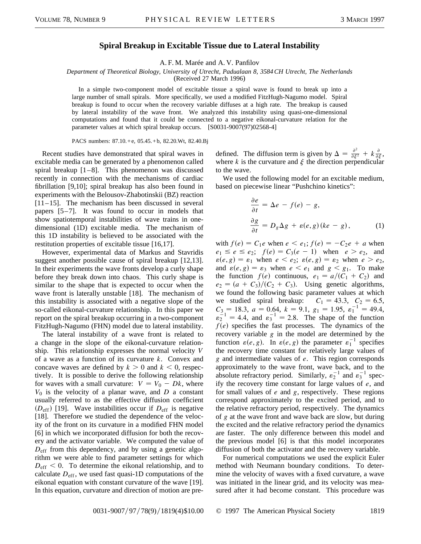## **Spiral Breakup in Excitable Tissue due to Lateral Instability**

A. F. M. Marée and A. V. Panfilov

*Department of Theoretical Biology, University of Utrecht, Padualaan 8, 3584 CH Utrecht, The Netherlands*

(Received 27 March 1996)

In a simple two-component model of excitable tissue a spiral wave is found to break up into a large number of small spirals. More specifically, we used a modified FitzHugh-Nagumo model. Spiral breakup is found to occur when the recovery variable diffuses at a high rate. The breakup is caused by lateral instability of the wave front. We analyzed this instability using quasi-one-dimensional computations and found that it could be connected to a negative eikonal-curvature relation for the parameter values at which spiral breakup occurs. [S0031-9007(97)02568-4]

PACS numbers: 87.10.+e, 05.45.+b, 82.20.Wt, 82.40.Bj

Recent studies have demonstrated that spiral waves in excitable media can be generated by a phenomenon called spiral breakup [1–8]. This phenomenon was discussed recently in connection with the mechanisms of cardiac fibrillation [9,10]; spiral breakup has also been found in experiments with the Belousov-Zhabotinskii (BZ) reaction  $[11 - 15]$ . The mechanism has been discussed in several papers [5–7]. It was found to occur in models that show spatiotemporal instabilities of wave trains in onedimensional (1D) excitable media. The mechanism of this 1D instability is believed to be associated with the restitution properties of excitable tissue [16,17].

However, experimental data of Markus and Stavridis suggest another possible cause of spiral breakup [12,13]. In their experiments the wave fronts develop a curly shape before they break down into chaos. This curly shape is similar to the shape that is expected to occur when the wave front is laterally unstable [18]. The mechanism of this instability is associated with a negative slope of the so-called eikonal-curvature relationship. In this paper we report on the spiral breakup occurring in a two-component FitzHugh-Nagumo (FHN) model due to lateral instability.

The lateral instability of a wave front is related to a change in the slope of the eikonal-curvature relationship. This relationship expresses the normal velocity *V* of a wave as a function of its curvature *k*. Convex and concave waves are defined by  $k > 0$  and  $k < 0$ , respectively. It is possible to derive the following relationship for waves with a small curvature:  $V = V_0 - Dk$ , where *V*<sup>0</sup> is the velocity of a planar wave, and *D* a constant usually referred to as the effective diffusion coefficient  $(D_{\text{eff}})$  [19]. Wave instabilities occur if  $D_{\text{eff}}$  is negative [18]. Therefore we studied the dependence of the velocity of the front on its curvature in a modified FHN model [6] in which we incorporated diffusion for both the recovery and the activator variable. We computed the value of  $D_{\text{eff}}$  from this dependency, and by using a genetic algorithm we were able to find parameter settings for which  $D_{\text{eff}} < 0$ . To determine the eikonal relationship, and to calculate  $D_{\text{eff}}$ , we used fast quasi-1D computations of the eikonal equation with constant curvature of the wave [19]. In this equation, curvature and direction of motion are pre-

defined. The diffusion term is given by  $\Delta = \frac{\partial^2}{\partial \xi^2} + k \frac{\partial}{\partial \xi}$ , where  $k$  is the curvature and  $\xi$  the direction perpendicular to the wave.

We used the following model for an excitable medium, based on piecewise linear "Pushchino kinetics":

$$
\frac{\partial e}{\partial t} = \Delta e - f(e) - g,
$$
  

$$
\frac{\partial g}{\partial t} = D_g \Delta g + \varepsilon(e, g) (ke - g),
$$
 (1)

with  $f(e) = C_1e$  when  $e < e_1$ ;  $f(e) = -C_2e + a$  when  $e_1 \le e \le e_2$ ;  $f(e) = C_3(e-1)$  when  $e > e_2$ , and  $\varepsilon(e, g) = \varepsilon_1$  when  $e < e_2$ ;  $\varepsilon(e, g) = \varepsilon_2$  when  $e > e_2$ , and  $\varepsilon(e, g) = \varepsilon_3$  when  $e < e_1$  and  $g < g_1$ . To make the function  $f(e)$  continuous,  $e_1 = a/(C_1 + C_2)$  and  $e_2 = (a + C_3)/(C_2 + C_3)$ . Using genetic algorithms, we found the following basic parameter values at which we studied spiral breakup:  $C_1 = 43.3, C_2 = 6.5$ ,  $C_3 = 18.3, a = 0.64, k = 9.1, g_1 = 1.95, \varepsilon_1^{-1} = 49.4,$  $\varepsilon_2^{-1} = 4.4$ , and  $\varepsilon_3^{-1} = 2.8$ . The shape of the function  $f(e)$  specifies the fast processes. The dynamics of the recovery variable *g* in the model are determined by the function  $\varepsilon(e, g)$ . In  $\varepsilon(e, g)$  the parameter  $\varepsilon_1^{-1}$  specifies the recovery time constant for relatively large values of *g* and intermediate values of *e*. This region corresponds approximately to the wave front, wave back, and to the absolute refractory period. Similarly,  $\varepsilon_2^{-1}$  and  $\varepsilon_3^{-1}$  specify the recovery time constant for large values of *e*, and for small values of *e* and *g*, respectively. These regions correspond approximately to the excited period, and to the relative refractory period, respectively. The dynamics of *g* at the wave front and wave back are slow, but during the excited and the relative refractory period the dynamics are faster. The only difference between this model and the previous model [6] is that this model incorporates diffusion of both the activator and the recovery variable.

For numerical computations we used the explicit Euler method with Neumann boundary conditions. To determine the velocity of waves with a fixed curvature, a wave was initiated in the linear grid, and its velocity was measured after it had become constant. This procedure was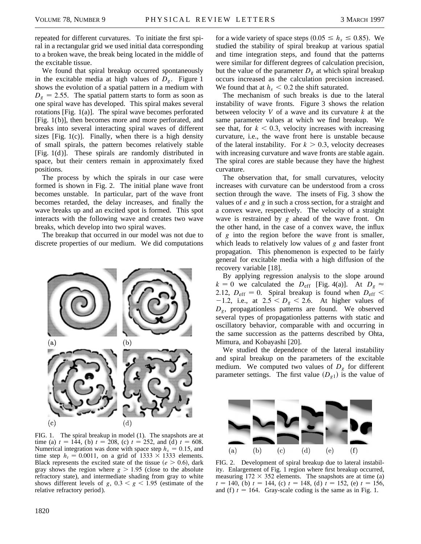repeated for different curvatures. To initiate the first spiral in a rectangular grid we used initial data corresponding to a broken wave, the break being located in the middle of the excitable tissue.

We found that spiral breakup occurred spontaneously in the excitable media at high values of  $D_g$ . Figure 1 shows the evolution of a spatial pattern in a medium with  $D_g = 2.55$ . The spatial pattern starts to form as soon as one spiral wave has developed. This spiral makes several rotations [Fig. 1(a)]. The spiral wave becomes perforated [Fig. 1(b)], then becomes more and more perforated, and breaks into several interacting spiral waves of different sizes  $[Fig. 1(c)]$ . Finally, when there is a high density of small spirals, the pattern becomes relatively stable [Fig. 1(d )]. These spirals are randomly distributed in space, but their centers remain in approximately fixed positions.

The process by which the spirals in our case were formed is shown in Fig. 2. The initial plane wave front becomes unstable. In particular, part of the wave front becomes retarded, the delay increases, and finally the wave breaks up and an excited spot is formed. This spot interacts with the following wave and creates two wave breaks, which develop into two spiral waves.

The breakup that occurred in our model was not due to discrete properties of our medium. We did computations



FIG. 1. The spiral breakup in model (1). The snapshots are at time (a)  $t = 144$ , (b)  $t = 208$ , (c)  $t = 252$ , and (d)  $t = 608$ . Numerical integration was done with space step  $h_s = 0.15$ , and time step  $h_t = 0.0011$ , on a grid of 1333  $\times$  1333 elements. Black represents the excited state of the tissue  $(e > 0.6)$ , dark gray shows the region where  $g > 1.95$  (close to the absolute refractory state), and intermediate shading from gray to white shows different levels of *g*,  $0.3 < g < 1.95$  (estimate of the relative refractory period ).

for a wide variety of space steps  $(0.05 \le h_s \le 0.85)$ . We studied the stability of spiral breakup at various spatial and time integration steps, and found that the patterns were similar for different degrees of calculation precision, but the value of the parameter  $D<sub>g</sub>$  at which spiral breakup occurs increased as the calculation precision increased. We found that at  $h_s < 0.2$  the shift saturated.

The mechanism of such breaks is due to the lateral instability of wave fronts. Figure 3 shows the relation between velocity *V* of a wave and its curvature *k* at the same parameter values at which we find breakup. We see that, for  $k < 0.3$ , velocity increases with increasing curvature, i.e., the wave front here is unstable because of the lateral instability. For  $k > 0.3$ , velocity decreases with increasing curvature and wave fronts are stable again. The spiral cores are stable because they have the highest curvature.

The observation that, for small curvatures, velocity increases with curvature can be understood from a cross section through the wave. The insets of Fig. 3 show the values of *e* and *g* in such a cross section, for a straight and a convex wave, respectively. The velocity of a straight wave is restrained by *g* ahead of the wave front. On the other hand, in the case of a convex wave, the influx of *g* into the region before the wave front is smaller, which leads to relatively low values of *g* and faster front propagation. This phenomenon is expected to be fairly general for excitable media with a high diffusion of the recovery variable [18].

By applying regression analysis to the slope around  $k = 0$  we calculated the  $D_{\text{eff}}$  [Fig. 4(a)]. At  $D_g \approx$ 2.12,  $D_{\text{eff}} = 0$ . Spiral breakup is found when  $D_{\text{eff}} <$  $-1.2$ , i.e., at  $2.5 < D_g < 2.6$ . At higher values of *Dg*, propagationless patterns are found. We observed several types of propagationless patterns with static and oscillatory behavior, comparable with and occurring in the same succession as the patterns described by Ohta, Mimura, and Kobayashi [20].

We studied the dependence of the lateral instability and spiral breakup on the parameters of the excitable medium. We computed two values of  $D_g$  for different parameter settings. The first value  $(D<sub>g1</sub>)$  is the value of



FIG. 2. Development of spiral breakup due to lateral instability. Enlargement of Fig. 1 region where first breakup occurred, measuring  $172 \times 352$  elements. The snapshots are at time (a)  $t = 140$ , (b)  $t = 144$ , (c)  $t = 148$ , (d)  $t = 152$ , (e)  $t = 156$ , and (f)  $t = 164$ . Gray-scale coding is the same as in Fig. 1.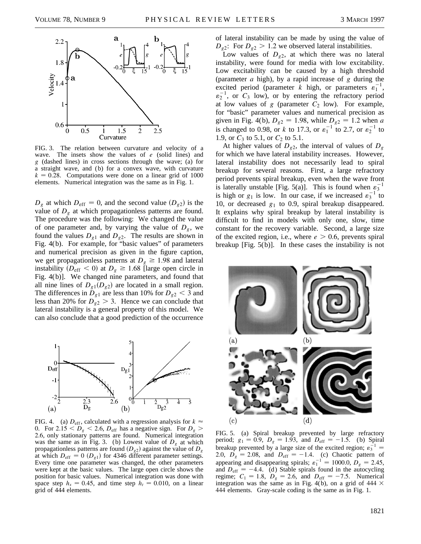

FIG. 3. The relation between curvature and velocity of a wave. The insets show the values of *e* (solid lines) and *g* (dashed lines) in cross sections through the wave; (a) for a straight wave, and (b) for a convex wave, with curvature  $k = 0.28$ . Computations were done on a linear grid of 1000 elements. Numerical integration was the same as in Fig. 1.

 $D_g$  at which  $D_{\text{eff}} = 0$ , and the second value  $(D_{g2})$  is the value of  $D_g$  at which propagationless patterns are found. The procedure was the following: We changed the value of one parameter and, by varying the value of  $D_{\varrho}$ , we found the values  $D_{g1}$  and  $D_{g2}$ . The results are shown in Fig. 4(b). For example, for "basic values" of parameters and numerical precision as given in the figure caption, we get propagationless patterns at  $D_g \ge 1.98$  and lateral instability  $(D_{\text{eff}} < 0)$  at  $D_g \ge 1.68$  [large open circle in Fig. 4(b)]. We changed nine parameters, and found that all nine lines of  $D_{g1}(D_{g2})$  are located in a small region. The differences in  $D_{g1}$  are less than 10% for  $D_{g2} < 3$  and less than 20% for  $D_{g2} > 3$ . Hence we can conclude that lateral instability is a general property of this model. We can also conclude that a good prediction of the occurrence



FIG. 4. (a)  $D_{\text{eff}}$ , calculated with a regression analysis for  $k \approx$ 0. For  $2.15 < D_g < 2.6$ ,  $D_{\text{eff}}$  has a negative sign. For  $D_g >$ 2.6, only stationary patterns are found. Numerical integration was the same as in Fig. 3. (b) Lowest value of  $D<sub>g</sub>$  at which propagationless patterns are found  $(D_{g2})$  against the value of  $D_g$ at which  $D_{\text{eff}} = 0$  ( $D_{g1}$ ) for 4346 different parameter settings. Every time one parameter was changed, the other parameters were kept at the basic values. The large open circle shows the position for basic values. Numerical integration was done with space step  $h_s = 0.45$ , and time step  $h_t = 0.010$ , on a linear grid of 444 elements.

of lateral instability can be made by using the value of  $D_{g2}$ : For  $D_{g2} > 1.2$  we observed lateral instabilities.

Low values of  $D_{g2}$ , at which there was no lateral instability, were found for media with low excitability. Low excitability can be caused by a high threshold (parameter *a* high), by a rapid increase of *g* during the excited period (parameter *k* high, or parameters  $\varepsilon_1^{-1}$ ,  $\varepsilon_2^{-1}$ , or  $C_3$  low), or by entering the refractory period at low values of  $g$  (parameter  $C_2$  low). For example, for "basic" parameter values and numerical precision as given in Fig. 4(b),  $D_{g2} = 1.98$ , while  $D_{g2} = 1.2$  when *a* is changed to 0.98, or *k* to 17.3, or  $\varepsilon_1^{-1}$  to 2.7, or  $\varepsilon_2^{-1}$  to 1.9, or *C*<sup>3</sup> to 5.1, or *C*<sup>2</sup> to 5.1.

At higher values of  $D_{g2}$ , the interval of values of  $D_g$ for which we have lateral instability increases. However, lateral instability does not necessarily lead to spiral breakup for several reasons. First, a large refractory period prevents spiral breakup, even when the wave front is laterally unstable [Fig. 5(a)]. This is found when  $\varepsilon_3^{-1}$ is high or  $g_1$  is low. In our case, if we increased  $\varepsilon_3^{-1}$  to 10, or decreased *g*<sup>1</sup> to 0.9, spiral breakup disappeared. It explains why spiral breakup by lateral instability is difficult to find in models with only one, slow, time constant for the recovery variable. Second, a large size of the excited region, i.e., where  $e > 0.6$ , prevents spiral breakup [Fig. 5(b)]. In these cases the instability is not



FIG. 5. (a) Spiral breakup prevented by large refractory period;  $g_1 = 0.9$ ,  $D_g = 1.93$ , and  $D_{eff} = -1.5$ . (b) Spiral breakup prevented by a large size of the excited region;  $\varepsilon_3^{-1}$  = 2.0,  $D_g = 2.08$ , and  $D_{eff} = -1.4$ . (c) Chaotic pattern of appearing and disappearing spirals;  $\varepsilon_1^{-1} = 1000.0, D_g = 2.45$ , and  $D_{\text{eff}} = -4.4$ . (d) Stable spirals found in the autocycling regime;  $C_1 = 1.8$ ,  $D_g = 2.6$ , and  $D_{eff} = -7.5$ . Numerical integration was the same as in Fig. 4(b), on a grid of 444  $\times$ 444 elements. Gray-scale coding is the same as in Fig. 1.